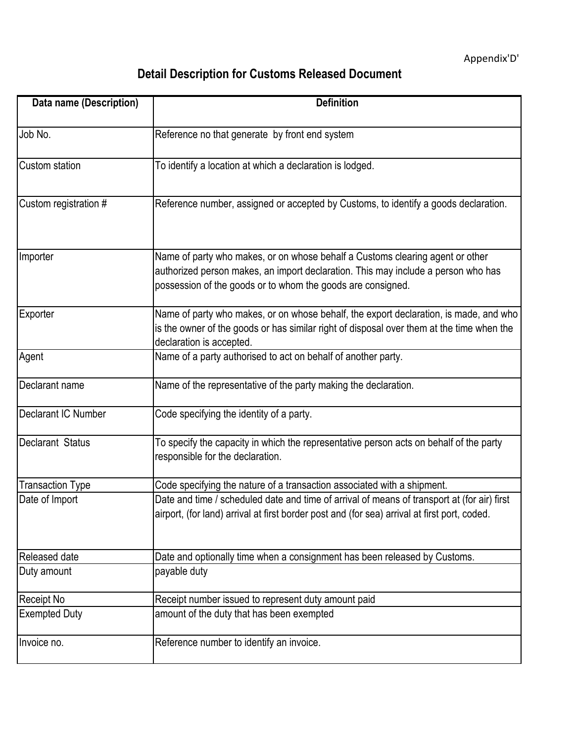## **Detail Description for Customs Released Document**

| Data name (Description) | <b>Definition</b>                                                                                                                                                                                                                 |
|-------------------------|-----------------------------------------------------------------------------------------------------------------------------------------------------------------------------------------------------------------------------------|
| Job No.                 | Reference no that generate by front end system                                                                                                                                                                                    |
| Custom station          | To identify a location at which a declaration is lodged.                                                                                                                                                                          |
| Custom registration #   | Reference number, assigned or accepted by Customs, to identify a goods declaration.                                                                                                                                               |
| Importer                | Name of party who makes, or on whose behalf a Customs clearing agent or other<br>authorized person makes, an import declaration. This may include a person who has<br>possession of the goods or to whom the goods are consigned. |
| Exporter                | Name of party who makes, or on whose behalf, the export declaration, is made, and who<br>is the owner of the goods or has similar right of disposal over them at the time when the<br>declaration is accepted.                    |
| Agent                   | Name of a party authorised to act on behalf of another party.                                                                                                                                                                     |
| Declarant name          | Name of the representative of the party making the declaration.                                                                                                                                                                   |
| Declarant IC Number     | Code specifying the identity of a party.                                                                                                                                                                                          |
| Declarant Status        | To specify the capacity in which the representative person acts on behalf of the party<br>responsible for the declaration.                                                                                                        |
| <b>Transaction Type</b> | Code specifying the nature of a transaction associated with a shipment.                                                                                                                                                           |
| Date of Import          | Date and time / scheduled date and time of arrival of means of transport at (for air) first<br>airport, (for land) arrival at first border post and (for sea) arrival at first port, coded.                                       |
| Released date           | Date and optionally time when a consignment has been released by Customs.                                                                                                                                                         |
| Duty amount             | payable duty                                                                                                                                                                                                                      |
| <b>Receipt No</b>       | Receipt number issued to represent duty amount paid                                                                                                                                                                               |
| <b>Exempted Duty</b>    | amount of the duty that has been exempted                                                                                                                                                                                         |
| Invoice no.             | Reference number to identify an invoice.                                                                                                                                                                                          |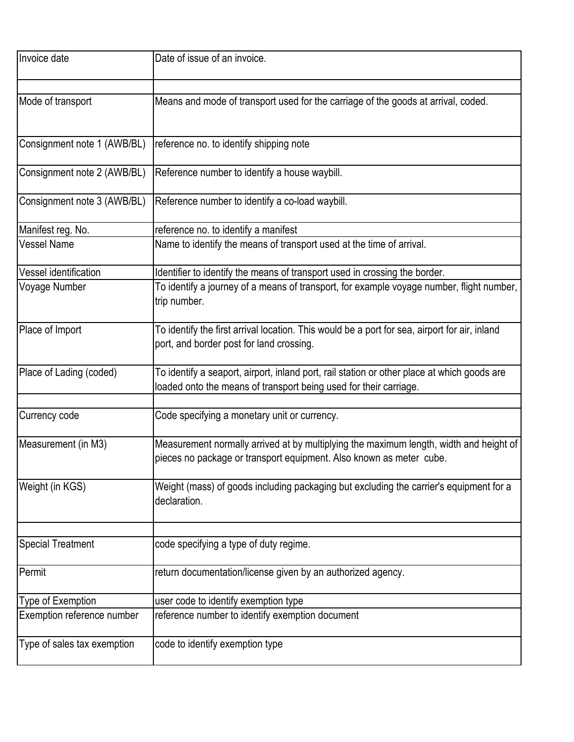| Invoice date                | Date of issue of an invoice.                                                                                                                                     |
|-----------------------------|------------------------------------------------------------------------------------------------------------------------------------------------------------------|
|                             |                                                                                                                                                                  |
| Mode of transport           | Means and mode of transport used for the carriage of the goods at arrival, coded.                                                                                |
| Consignment note 1 (AWB/BL) | reference no. to identify shipping note                                                                                                                          |
| Consignment note 2 (AWB/BL) | Reference number to identify a house waybill.                                                                                                                    |
| Consignment note 3 (AWB/BL) | Reference number to identify a co-load waybill.                                                                                                                  |
| Manifest reg. No.           | reference no. to identify a manifest                                                                                                                             |
| Vessel Name                 | Name to identify the means of transport used at the time of arrival.                                                                                             |
| Vessel identification       | Identifier to identify the means of transport used in crossing the border.                                                                                       |
| Voyage Number               | To identify a journey of a means of transport, for example voyage number, flight number,<br>trip number.                                                         |
| Place of Import             | To identify the first arrival location. This would be a port for sea, airport for air, inland<br>port, and border post for land crossing.                        |
| Place of Lading (coded)     | To identify a seaport, airport, inland port, rail station or other place at which goods are<br>loaded onto the means of transport being used for their carriage. |
| Currency code               | Code specifying a monetary unit or currency.                                                                                                                     |
| Measurement (in M3)         | Measurement normally arrived at by multiplying the maximum length, width and height of<br>pieces no package or transport equipment. Also known as meter cube.    |
| Weight (in KGS)             | Weight (mass) of goods including packaging but excluding the carrier's equipment for a<br>declaration.                                                           |
| <b>Special Treatment</b>    | code specifying a type of duty regime.                                                                                                                           |
|                             |                                                                                                                                                                  |
| Permit                      | return documentation/license given by an authorized agency.                                                                                                      |
| Type of Exemption           | user code to identify exemption type                                                                                                                             |
| Exemption reference number  | reference number to identify exemption document                                                                                                                  |
| Type of sales tax exemption | code to identify exemption type                                                                                                                                  |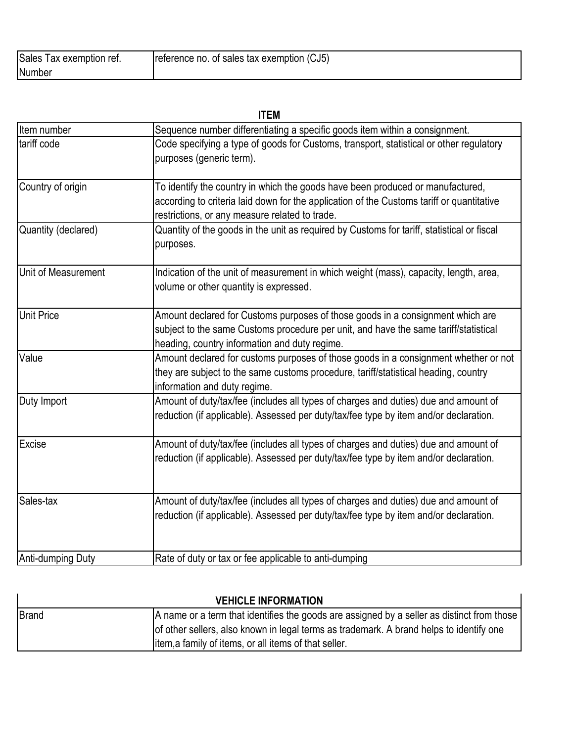| <b>Sales</b><br>l ax exemption ref. | reference no. of sales tax exemption (CJ5) |
|-------------------------------------|--------------------------------------------|
| Number                              |                                            |

| <b>ITEM</b>         |                                                                                                                                                                                                                               |  |
|---------------------|-------------------------------------------------------------------------------------------------------------------------------------------------------------------------------------------------------------------------------|--|
| Item number         | Sequence number differentiating a specific goods item within a consignment.                                                                                                                                                   |  |
| tariff code         | Code specifying a type of goods for Customs, transport, statistical or other regulatory<br>purposes (generic term).                                                                                                           |  |
| Country of origin   | To identify the country in which the goods have been produced or manufactured,<br>according to criteria laid down for the application of the Customs tariff or quantitative<br>restrictions, or any measure related to trade. |  |
| Quantity (declared) | Quantity of the goods in the unit as required by Customs for tariff, statistical or fiscal<br>purposes.                                                                                                                       |  |
| Unit of Measurement | Indication of the unit of measurement in which weight (mass), capacity, length, area,<br>volume or other quantity is expressed.                                                                                               |  |
| <b>Unit Price</b>   | Amount declared for Customs purposes of those goods in a consignment which are<br>subject to the same Customs procedure per unit, and have the same tariff/statistical<br>heading, country information and duty regime.       |  |
| Value               | Amount declared for customs purposes of those goods in a consignment whether or not<br>they are subject to the same customs procedure, tariff/statistical heading, country<br>information and duty regime.                    |  |
| Duty Import         | Amount of duty/tax/fee (includes all types of charges and duties) due and amount of<br>reduction (if applicable). Assessed per duty/tax/fee type by item and/or declaration.                                                  |  |
| <b>Excise</b>       | Amount of duty/tax/fee (includes all types of charges and duties) due and amount of<br>reduction (if applicable). Assessed per duty/tax/fee type by item and/or declaration.                                                  |  |
| Sales-tax           | Amount of duty/tax/fee (includes all types of charges and duties) due and amount of<br>reduction (if applicable). Assessed per duty/tax/fee type by item and/or declaration.                                                  |  |
| Anti-dumping Duty   | Rate of duty or tax or fee applicable to anti-dumping                                                                                                                                                                         |  |

| <b>VEHICLE INFORMATION</b> |                                                                                            |
|----------------------------|--------------------------------------------------------------------------------------------|
| Brand                      | A name or a term that identifies the goods are assigned by a seller as distinct from those |
|                            | of other sellers, also known in legal terms as trademark. A brand helps to identify one    |
|                            | litem, a family of items, or all items of that seller.                                     |